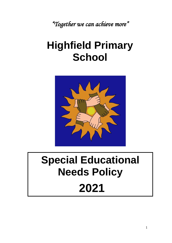*"Together we can achieve more"*

## **Highfield Primary School**



# **Special Educational Needs Policy 2021**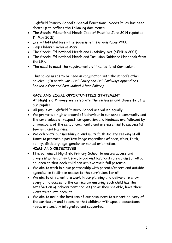Highfield Primary School's Special Educational Needs Policy has been drawn up to reflect the following documents:

- The Special Educational Needs Code of Practice June 2014 (updated 1st May 2015)
- Every Child Matters the Government's Green Paper 2000
- Help Children Achieve More.
- The Special Educational Needs and Disability Act (SENDA 2001).
- The Special Educational Needs and Inclusion Guidance Handbook from the LEA.
- The need to meet the requirements of the National Curriculum.

This policy needs to be read in conjunction with the school's other policies *(In particular - Dali Policy and Dali Pathways appendices. Looked After and Post looked After Policy.)*

## **RACE AND EQUAL OPPORTUNITIES STATEMENT**

## **At Highfield Primary we celebrate the richness and diversity of all our pupils:**

- All pupils at Highfield Primary School are valued equally.
- We promote a high standard of behaviour in our school community and the core values of respect, co-operation and kindness are followed by all members of the school community and are essential to successful teaching and learning.
- We celebrate our multilingual and multi faith society seeking at all times to promote a positive image regardless of race, class, faith, ability, disability, age, gender or sexual orientation.

## **AIMS AND OBJECTIVES**

- It is our aim at Highfield Primary School to ensure access and progress within an inclusive, broad and balanced curriculum for all our children so that each child can achieve their full potential.
- We aim to work in close partnership with parents/carers and outside agencies to facilitate access to the curriculum for all.
- We aim to differentiate work in our planning and delivery to allow every child access to the curriculum ensuring each child has the satisfaction of achievement and, as far as they are able, have their views taken into account.
- We aim to make the best use of our resources to support delivery of the curriculum and to ensure that children with special educational needs are socially integrated and supported.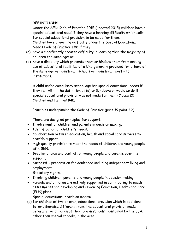## **DEFINITIONS**

Under the SEN Code of Practice 2015 (updated 2015) children have a special educational need if they have a learning difficulty which calls for special educational provision to be made for them. Children have a learning difficulty under the Special Educational Needs Code of Practice s1:8 if they:

- (a) have a significantly greater difficulty in learning than the majority of children the same age; or
- (b) have a disability which prevents them or hinders them from making use of educational facilities of a kind generally provided for others of the same age in mainstream schools or mainstream post – 16 institutions.

A child under compulsory school age has special educational needs if they fall within the definition at (a) or (b) above or would so do if special educational provision was not made for them (Clause 20 Children and Families Bill).

Principles underpinning the Code of Practice (page 19 point 1.2)

There are designed principles for support:

- Involvement of children and parents in decision making.
- Identification of children's needs.
- Collaboration between education, health and social care services to provide support.
- High quality provision to meet the needs of children and young people with SEN.
- Greater choice and control for young people and parents over the support.
- Successful preparation for adulthood including independent living and employment.

Statutory rights:

- Involving children, parents and young people in decision making.
- Parents and children are actively supported in contributing to needs assessments and developing and reviewing Education, Health and Care (EHC) plans.

Special educational provision means:

(a) for children of two or over, educational provision which is additional to, or otherwise different from, the educational provision made generally for children of their age in schools maintained by the LEA, other than special schools, in the area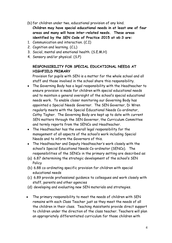- (b) for children under two, educational provision of any kind. **Children may have special educational needs in at least one of four areas and many will have inter-related needs. These areas identified by the SEN Code of Practice 2015 at s6:3 are:**
- 1. Communication and interaction. (C.I)
- 2. Cognition and learning. (C.L)
- 3. Social, mental and emotional health. (S.E.M.H)
- 4. Sensory and/or physical. (S.P)

## **RESPONSIBILITY FOR SPECIAL EDUCATIONAL NEEDS AT HIGHFIELD PRIMARY**

Provision for pupils with SEN is a matter for the whole school and all staff and those involved in the school share this responsibility.

- The Governing Body has a legal responsibility with the Headteacher to ensure provision is made for children with special educational needs and to maintain a general oversight of the school's special educational needs work. To enable closer monitoring our Governing Body has appointed a Special Needs Governor. The SEN Governor, Di Wren regularly meets with the Special Educational Needs Co-ordinator, Cathy Togher. The Governing Body are kept up to date with current SEN matters through the SEN Governor, the Curriculum Committee and termly reports from the SENCo and Headteacher.
- The Headteacher has the overall legal responsibility for the management of all aspects of the school's work including Special Needs and to inform the Governors of this.
- The Headteacher and Deputy Headteacher's work closely with the school's Special Educational Needs Co-ordinator (SENCo). The responsibilities of the SENCo in the primary setting are described as:
- (a) 6.87 determining the strategic development of the school's SEN **Policy**
- (b) 6.88 co-ordinating specific provision for children with special educational needs
- (c) 6.89 provide professional guidance to colleagues and work closely with staff, parents and other agencies
- (d) developing and evaluating new SEN materials and strategies.
- The primary responsibility to meet the needs of children with SEN remains with each Class Teacher just as they meet the needs of all the children in their class. Teaching Assistants provide direct support to children under the direction of the class teacher. Teachers will plan an appropriately differentiated curriculum for those children with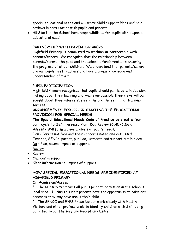special educational needs and will write Child Support Plans and hold reviews in consultation with pupils and parents.

• All Staff in the School have responsibilities for pupils with a special educational need.

## **PARTNERSHIP WITH PARENTS/CARERS**

**Highfield Primary is committed to working in partnership with parents/carers**. We recognise that the relationship between parents/carers, the pupil and the school is fundamental to ensuring the progress of all our children. We understand that parents/carers are our pupils first teachers and have a unique knowledge and understanding of them.

## **PUPIL PARTICIPATION**

Highfield Primary recognises that pupils should participate in decision making about their learning and whenever possible their views will be sought about their interests, strengths and the setting of learning targets.

## **ARRANGEMENTS FOR CO-ORDINATING THE EDUCATIONAL PROVISION FOR SPECIAL NEEDS**

**The Special Educational Needs Code of Practice sets out a four part cycle to SEN: Assess, Plan, Do, Review (6.45-6.56).** Assess - Will form a clear analysis of pupil's needs.

Plan - Parent notified and their concerns noted and discussed.

Teacher, SENCo, parent, pupil adjustments and support put in place. Do – Plan, assess impact of support.

Review

- Review
- Changes in support
- Clear information re: impact of support.

## **HOW SPECIAL EDUCATIONAL NEEDS ARE IDENTIFIED AT HIGHFIELD PRIMARY**

#### **On Admission/Assess:**

\* The Nursery team visit all pupils prior to admission in the school's local area. During this visit parents have the opportunity to raise any concerns they may have about their child.

\* The SENCO and EYFS Phase Leader work closely with Health Visitors and other professionals to identify children with SEN being admitted to our Nursery and Reception classes.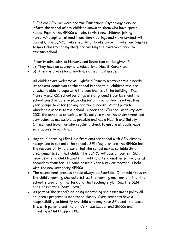\* Enfield SEN Services and the Educational Psychology Service inform the school of any children known to them who have special needs. Equally the SENCo will aim to visit new children joining nursery/reception, attend transition meetings and make contact with parents. The SENCo makes transition books and will invite new families to meet class teaching staff and visiting the classroom prior to starting school.

Priority admission to Nursery and Reception can be given if:

- a) They have an appropriate Educational Health Care Plan.
- b) There is professional evidence of a child's needs.

All children are welcome at Highfield Primary whatever their needs**.** At present admission to the school is open to all children who are physically able to cope with the constraints of the building. The Nursery and KS1 school buildings are at ground floor level and the school would be able to place classes on ground floor level in other year groups to cater for any additional needs. Ramps provide wheelchair access to the school**.** Under the SEN and Disability Act 2001 the school is conscious of its duty to make the environment and curriculum as accessible as possible and has a Health and Safety Officer and Governor who regularly check to ensure all pupils have safe access to our school.

- Any child entering Highfield from another school with SEN already recognised is put onto the school's SEN Register and the SENCo has the responsibility to ensure that the school makes suitable SEN arrangements for that child. The SENCo will pass on current SEN records when a child leaves Highfield to attend another primary or at secondary transfer. In some cases a Year 6 review meeting is held with the new secondary SENCo.
- The assessment process should always be fourfold. It should focus on the child's learning characteristics, the learning environment that the school is providing, the task and the teaching style. See the SEN Code of Practice (6:45 – 6:56).
- As part of the school's on-going monitoring and assessment policy all children's progress is monitored closely. Class teachers have a responsibility to identify any child who may have SEN and to discuss this with parents and the child's Phase Leader and SENCo and initiating a Child Support Plan.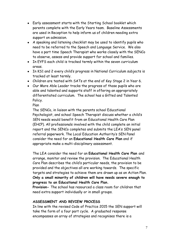- Early assessment starts with the Starting School booklet which parents complete with the Early Years team. Baseline Assessments are used in Reception to help inform us of children needing extra support on admission.
- A speaking and listening checklist may be used to identify pupils who need to be referred to the Speech and Language Service. We also have a part time Speech Therapist who works closely with the SENCo to observe, assess and provide support for school and families.
- In EYFS each child is tracked termly within the seven curriculum areas.
- In KS1 and 2 every child's progress in National Curriculum subjects is tracked at least termly.
- Children are tested with SATs at the end of Key Stage 2 in Year 6.
- Our More Able Leader tracks the progress of those pupils who are able and talented and supports staff in offering an appropriately differentiated curriculum. The school has a Gifted and Talented Policy.

Plan

The SENCo, in liaison with the parents school Educational Psychologist, and school Speech Therapist discuss whether a child's SEN needs would benefit from an Educational Health Care Plan (EHCP). All professionals involved with the child complete an initial report and the SENCo completes and submits the LEA's SEN panel referral paperwork. The Local Education Authority's SEN Panel consider the need for an **Educational Health Care Plan** and if appropriate make a multi-disciplinary assessment.

The LEA consider the need for an **Educational Health Care Plan** and arrange, monitor and review the provision. The Educational Health Care Plan describes the child's particular needs, the provision to be provided and the objectives all are working towards. The specific targets and strategies to achieve them are drawn up as an Action Plan. **Only a small minority of children will have needs severe enough to progress to an Educational Health Care Plan.**

**Provision-** The school has resourced a class room for children that need extra support individually or in small groups.

## **ASSESSMENT AND REVIEW PROCESS**

In line with the revised Code of Practice 2015 the SEN support will take the form of a four part cycle. A graduated response encompasses an array of strategies and recognises there is a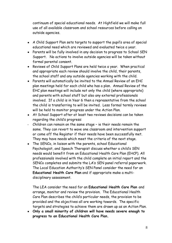continuum of special educational needs. At Highfield we will make full use of all available classroom and school resources before calling on outside agencies.

- A Child Support Plan sets targets to support the pupil's area of special educational need which are reviewed and evaluated twice a year.
- Parents will be fully involved in any decision to progress to School SEN Support. No actions to involve outside agencies will be taken without formal parental consent.
- Reviews of Child Support Plans are held twice a year. When practical and appropriate each review should involve the child, their parents, the school staff and any outside agencies working with the child.
- Parents will automatically be invited to the Annual Review of an EHC plan meetings held for each child who has a plan. Annual Review of the EHC plan meetings will include not only the child (where appropriate) and parents with school staff but also any external professionals involved. If a child is in Year 6 then a representative from the school the child is transferring to will be invited. Less formal termly reviews will be held to monitor progress under the Action Plan.
- At School Support after at least two reviews decisions can be taken regarding the child's progress:
- Children can remain on the same stage ie their needs remain the same. They can revert to wave one classroom and intervention support or come off the Register if their needs have been successfully met. They may have needs which meet the criteria of the next stage.
- The SENCo, in liaison with the parents, school Educational Psychologist, and Speech Therapist discuss whether a child's SEN needs would benefit from an Educational Health Care Plan (EHCP). All professionals involved with the child complete an initial report and the SENCo completes and submits the LA's SEN panel referral paperwork. The Local Education Authority's SEN Panel consider the need for an **Educational Health Care Plan** and if appropriate make a multidisciplinary assessment.

The LEA consider the need for an **Educational Health Care Plan** and arrange, monitor and review the provision. The Educational Health Care Plan describes the child's particular needs, the provision to be provided and the objectives all are working towards. The specific targets and strategies to achieve them are drawn up as an Action Plan.

• **Only a small minority of children will have needs severe enough to progress to an Educational Health Care Plan.**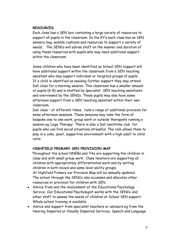#### **RESOURCES**

Each class has a SEN box containing a large variety of resources to support all pupils in the classroom. In the EY's each class has an SEN sensory bag, wobble cushions and resources to support a variety of needs. The SENCo will advise staff on the manner and duration of using these resources with pupils who may need additional support within the classroom.

Some children who have been identified as School SEN Support will have additional support within the classroom from a SEN teaching assistant who may support individual or targeted groups of pupils. If a child is identified as needing further support they may attend Dali class for a morning session. This classroom has a smaller amount of pupils (6-8) and is staffed by specialist SEN teaching assistants and overviewed by the SENCo. These pupils may also have some afternoon support from a SEN teaching assistant within their own classroom.

Dali class – at different times, runs a range of additional provision for some afternoon sessions. These sessions may take the form of bespoke one to one work, group work or outside therapists running a session eg 'Lego Therapy'. There is also a Dali lunchtime club for pupils who can find social situations stressful. The club allows them to play in a calm, quiet, supportive environment with a high adult to child ratio.

#### **HIGHFIELD PRIMARY SEN PROVISION MAP**

 Throughout the school NNEBs and TAs are supporting the children in class and with small group work. Class teachers are supporting all children with appropriately differentiated work and by setting children in both mixed and same level ability groups. At Highfield Primary our Provision Map will be annually updated.

The school through the SENCo also accesses and allocates other resources or provision for children with SEN.

- Advice from and the involvement of the Educational Psychology Service. Our Educational Psychologist works with the SENCo and other staff to assess the needs of children at School SEN support. Whole school training is available.
- Advice and support from specialist teachers or advisors eg from the Hearing Impaired or Visually Impaired Services, Speech and Language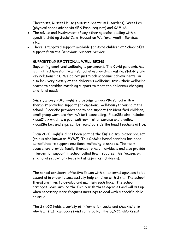Therapists, Russet House (Autistic Spectrum Disorders), West Lea (physical needs advice via SEN Panel request) and CAMHS.

- The advice and involvement of any other agencies dealing with a specific child eg Social Care, Education Welfare, Health Services etc..
- There is targeted support available for some children at School SEN support from the Behaviour Support Service.

#### **SUPPORTING EMOTIONAL WELL-BEING**

Supporting emotional wellbeing is paramount. The Covid pandemic has highlighted how significant school is in providing routine, stability and key relationships. We do not just track academic achievements, we also look very closely at the children's wellbeing, track their wellbeing scores to consider matching support to meet the children's changing emotional needs.

Since January 2018 Highfield became a Place2Be school with a therapist providing support for emotional well-being throughout the school. Place2Be provides one to one support for identified children, small group work and family/staff counselling. Place2Be also includes Place2talk which is a pupil self-nomination service and a yellow Place2Be box and slips can be found outside the head teachers office.

From 2020 Highfield has been part of the Enfield trailblazer project (this is also known as MYME). This CAMHs based services has been established to support emotional wellbeing in schools. The team counsellors provide family therapy to help individuals and also provide intervention support in school called Brain Buddies, this focuses on emotional regulation (targeted at upper Ks2 children).

The school considers effective liaison with all external agencies to be essential in order to successfully help children with SEN. The school therefore tries to develop and maintain such links. The school arranges Team Around the Family with these agencies and will set up when necessary more frequent meetings to deal with a specific child or issue.

The SENCO holds a variety of information packs and checklists to which all staff can access and contribute. The SENCO also keeps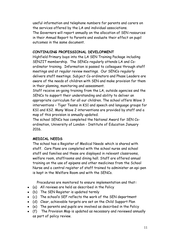useful information and telephone numbers for parents and carers on the services offered by the LA and individual associations. The Governors will report annually on the allocation of SEN resources in their Annual Report to Parents and evaluate their effect on pupil outcomes in the same document.

#### **CONTINUING PROFESSIONAL DEVELOPMENT**

Highfield Primary buys into the LA SEN Training Package including SENJIT membership. The SENCo regularly attends LA and Coordinator training. Information is passed to colleagues through staff meetings and at regular review meetings. Our SENCo regularly delivers staff meetings. Subject Co-ordinators and Phase Leaders are aware of the needs of children with SEN and make provision for them in their planning, monitoring and assessment.

Staff receive on-going training from the LA, outside agencies and the SENCo to support their understanding and ability to deliver an appropriate curriculum for all our children. The school offers Wave 3 interventions – Tiger Teams in KS1 and speech and language groups for KS1 and KS2. Many Wave 2 interventions are provided by staff and a map of this provision is annually updated.

The school SENCo has completed the National Award for SEN Coordination, University of London - Institute of Education January 2016.

#### **MEDICAL NEEDS**

The school has a Register of Medical Needs which is shared with staff. Care Plans are completed with the school nurse and school staff and families and these are displayed in relevant classrooms, welfare room, staffrooms and dining hall. Staff are offered annual training on the use of epipens and other medicines from the School Nurse and a central register of staff trained to administer an epi-pen is kept in the Welfare Room and with the SENCo.

Procedures are monitored to ensure implementation and that**:**

- (a) All reviews are held as described in the Policy
- (b) The SEN Register is updated termly
- (c) The school's SEF reflects the work of the SEN department
- (d) Clear, achievable targets are set on the Child Support Plan
- (e) The parents and pupils are involved as described in the Policy
- (f) The Provision Map is updated as necessary and reviewed annually as part of policy review.